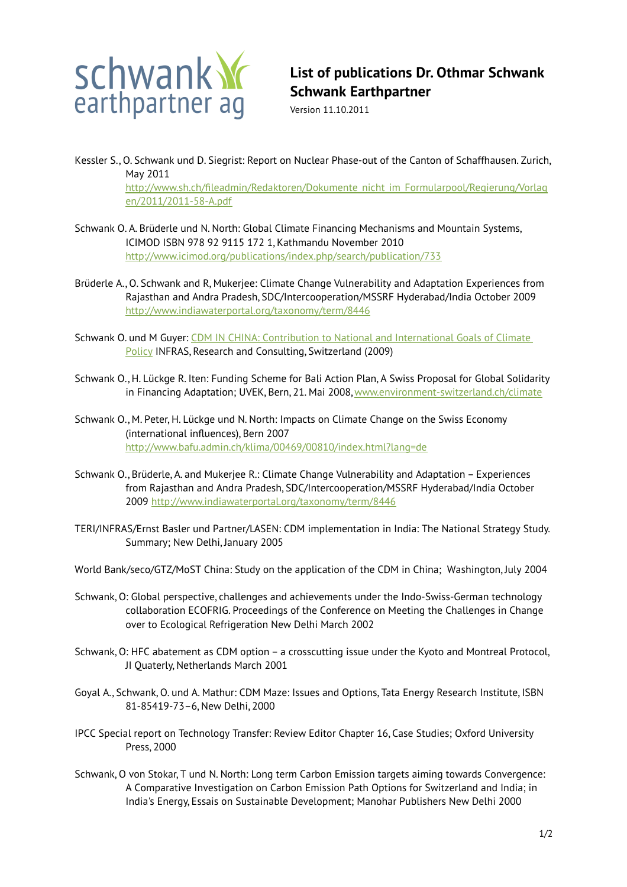

## **List of publications Dr. Othmar Schwank Schwank Earthpartner**

Version 11.10.2011

Kessler S., O. Schwank und D. Siegrist: Report on Nuclear Phase-out of the Canton of Schaffhausen. Zurich, May 2011

[http://www.sh.ch/fileadmin/Redaktoren/Dokumente\\_nicht\\_im\\_Formularpool/Regierung/Vorlag](http://www.sh.ch/fileadmin/Redaktoren/Dokumente_nicht_im_Formularpool/Regierung/Vorlagen/2011/2011-58-A.pdf) [en/2011/2011-58-A.pdf](http://www.sh.ch/fileadmin/Redaktoren/Dokumente_nicht_im_Formularpool/Regierung/Vorlagen/2011/2011-58-A.pdf)

- Schwank O. A. Brüderle und N. North: Global Climate Financing Mechanisms and Mountain Systems, ICIMOD ISBN 978 92 9115 172 1, Kathmandu November 2010 <http://www.icimod.org/publications/index.php/search/publication/733>
- Brüderle A., O. Schwank and R, Mukerjee: Climate Change Vulnerability and Adaptation Experiences from Rajasthan and Andra Pradesh, SDC/Intercooperation/MSSRF Hyderabad/India October 2009 <http://www.indiawaterportal.org/taxonomy/term/8446>
- Schwank O. und M Guyer: [CDM IN CHINA: Contribution to National and International Goals of Climate](http://www.nccr-climate.unibe.ch/conferences/climate_policies/working_papers/Schwank.pdf) [Policy](http://www.nccr-climate.unibe.ch/conferences/climate_policies/working_papers/Schwank.pdf) INFRAS, Research and Consulting, Switzerland (2009)
- Schwank O., H. Lückge R. Iten: Funding Scheme for Bali Action Plan, A Swiss Proposal for Global Solidarity in Financing Adaptation; UVEK, Bern, 21. Mai 2008, [www.environment-switzerland.ch/climate](http://www.environment-switzerland.ch/climate)
- Schwank O., M. Peter, H. Lückge und N. North: Impacts on Climate Change on the Swiss Economy (international influences), Bern 2007 <http://www.bafu.admin.ch/klima/00469/00810/index.html?lang=de>
- Schwank O., Brüderle, A. and Mukerjee R.: Climate Change Vulnerability and Adaptation Experiences from Rajasthan and Andra Pradesh, SDC/Intercooperation/MSSRF Hyderabad/India October 2009<http://www.indiawaterportal.org/taxonomy/term/8446>
- TERI/INFRAS/Ernst Basler und Partner/LASEN: CDM implementation in India: The National Strategy Study. Summary; New Delhi, January 2005
- World Bank/seco/GTZ/MoST China: Study on the application of the CDM in China; Washington, July 2004
- Schwank, O: Global perspective, challenges and achievements under the Indo-Swiss-German technology collaboration ECOFRIG. Proceedings of the Conference on Meeting the Challenges in Change over to Ecological Refrigeration New Delhi March 2002
- Schwank, O: HFC abatement as CDM option a crosscutting issue under the Kyoto and Montreal Protocol, JI Quaterly, Netherlands March 2001
- Goyal A., Schwank, O. und A. Mathur: CDM Maze: Issues and Options, Tata Energy Research Institute, ISBN 81-85419-73–6, New Delhi, 2000
- IPCC Special report on Technology Transfer: Review Editor Chapter 16, Case Studies; Oxford University Press, 2000
- Schwank, O von Stokar, T und N. North: Long term Carbon Emission targets aiming towards Convergence: A Comparative Investigation on Carbon Emission Path Options for Switzerland and India; in India's Energy, Essais on Sustainable Development; Manohar Publishers New Delhi 2000